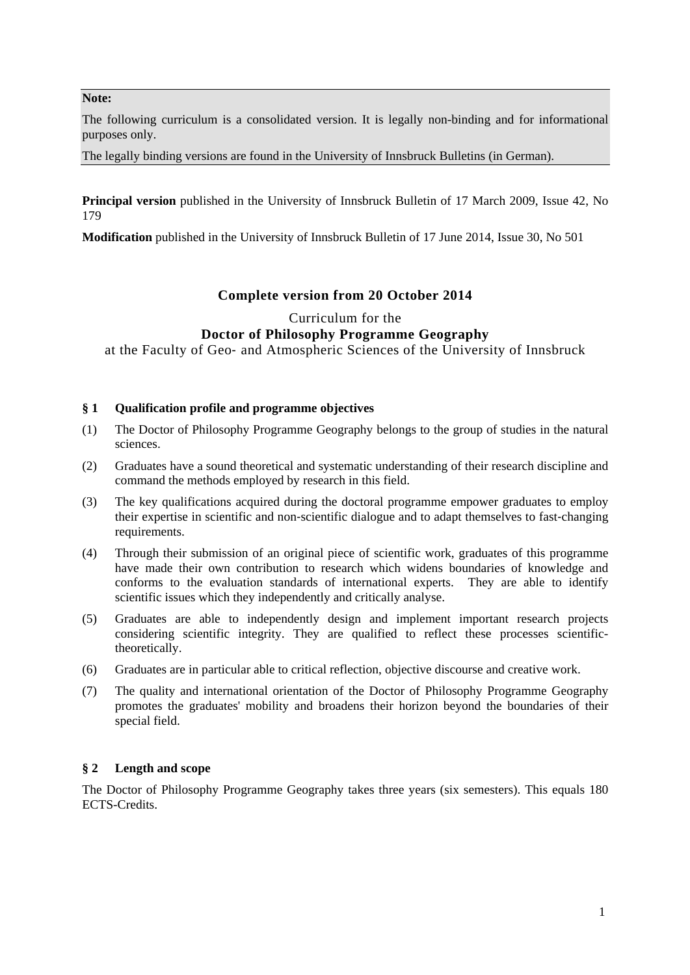### **Note:**

The following curriculum is a consolidated version. It is legally non-binding and for informational purposes only.

The legally binding versions are found in the University of Innsbruck Bulletins (in German).

**Principal version** published in the University of Innsbruck Bulletin of 17 March 2009, Issue 42, No 179

**Modification** published in the University of Innsbruck Bulletin of 17 June 2014, Issue 30, No 501

# **Complete version from 20 October 2014**

# Curriculum for the **Doctor of Philosophy Programme Geography**

at the Faculty of Geo‐ and Atmospheric Sciences of the University of Innsbruck

## **§ 1 Qualification profile and programme objectives**

- (1) The Doctor of Philosophy Programme Geography belongs to the group of studies in the natural sciences.
- (2) Graduates have a sound theoretical and systematic understanding of their research discipline and command the methods employed by research in this field.
- (3) The key qualifications acquired during the doctoral programme empower graduates to employ their expertise in scientific and non‐scientific dialogue and to adapt themselves to fast‐changing requirements.
- (4) Through their submission of an original piece of scientific work, graduates of this programme have made their own contribution to research which widens boundaries of knowledge and conforms to the evaluation standards of international experts. They are able to identify scientific issues which they independently and critically analyse.
- (5) Graduates are able to independently design and implement important research projects considering scientific integrity. They are qualified to reflect these processes scientifictheoretically.
- (6) Graduates are in particular able to critical reflection, objective discourse and creative work.
- (7) The quality and international orientation of the Doctor of Philosophy Programme Geography promotes the graduates' mobility and broadens their horizon beyond the boundaries of their special field.

# **§ 2 Length and scope**

The Doctor of Philosophy Programme Geography takes three years (six semesters). This equals 180 ECTS-Credits.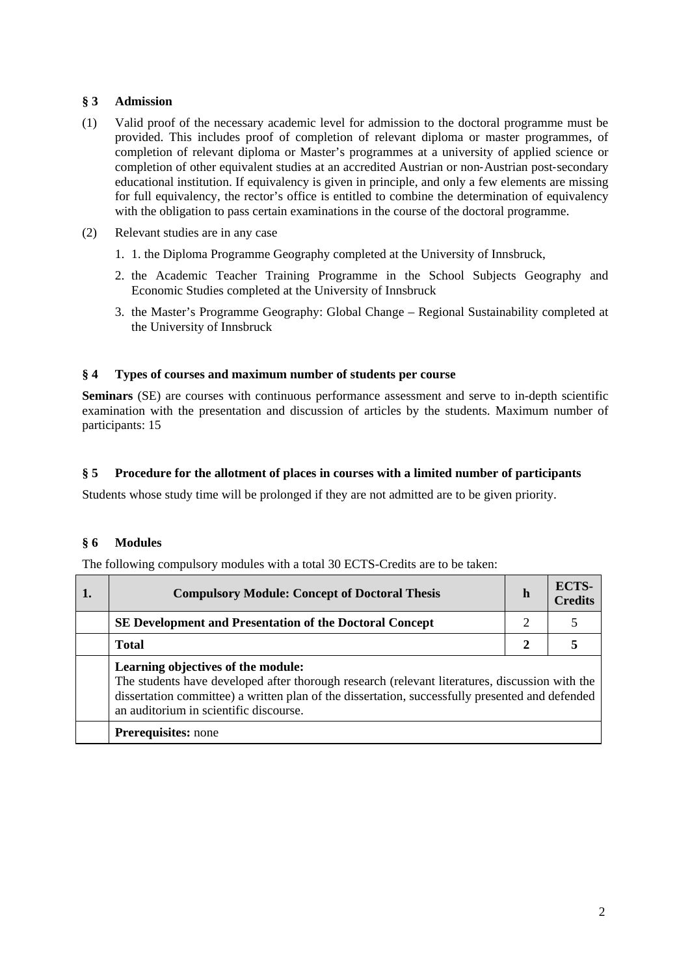# **§ 3 Admission**

- (1) Valid proof of the necessary academic level for admission to the doctoral programme must be provided. This includes proof of completion of relevant diploma or master programmes, of completion of relevant diploma or Master's programmes at a university of applied science or completion of other equivalent studies at an accredited Austrian or non-Austrian post-secondary educational institution. If equivalency is given in principle, and only a few elements are missing for full equivalency, the rector's office is entitled to combine the determination of equivalency with the obligation to pass certain examinations in the course of the doctoral programme.
- (2) Relevant studies are in any case
	- 1. 1. the Diploma Programme Geography completed at the University of Innsbruck,
	- 2. the Academic Teacher Training Programme in the School Subjects Geography and Economic Studies completed at the University of Innsbruck
	- 3. the Master's Programme Geography: Global Change Regional Sustainability completed at the University of Innsbruck

## **§ 4 Types of courses and maximum number of students per course**

**Seminars** (SE) are courses with continuous performance assessment and serve to in-depth scientific examination with the presentation and discussion of articles by the students. Maximum number of participants: 15

## **§ 5 Procedure for the allotment of places in courses with a limited number of participants**

Students whose study time will be prolonged if they are not admitted are to be given priority.

### **§ 6 Modules**

The following compulsory modules with a total 30 ECTS-Credits are to be taken:

| 1. | <b>Compulsory Module: Concept of Doctoral Thesis</b>                                                                                                                                                                                                                              |              | ECTS-<br><b>Credits</b> |  |
|----|-----------------------------------------------------------------------------------------------------------------------------------------------------------------------------------------------------------------------------------------------------------------------------------|--------------|-------------------------|--|
|    | <b>SE Development and Presentation of the Doctoral Concept</b>                                                                                                                                                                                                                    |              |                         |  |
|    | <b>Total</b>                                                                                                                                                                                                                                                                      | $\mathbf{2}$ |                         |  |
|    | Learning objectives of the module:<br>The students have developed after thorough research (relevant literatures, discussion with the<br>dissertation committee) a written plan of the dissertation, successfully presented and defended<br>an auditorium in scientific discourse. |              |                         |  |
|    | <b>Prerequisites:</b> none                                                                                                                                                                                                                                                        |              |                         |  |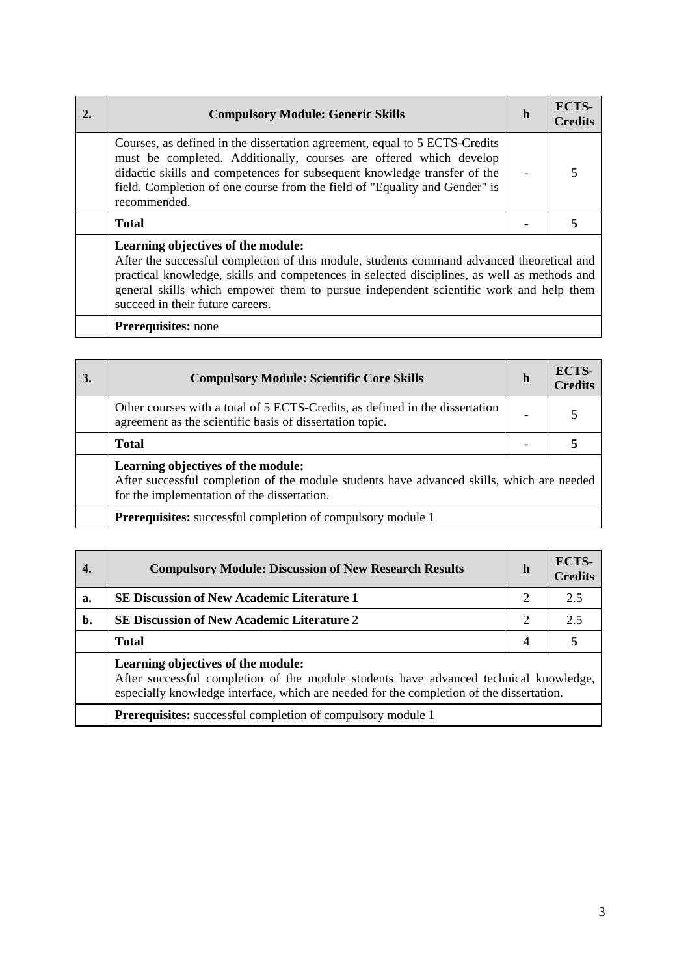| <b>Compulsory Module: Generic Skills</b>                                                                                                                                                                                                                                                                                   | h | ECTS-<br><b>Credits</b> |
|----------------------------------------------------------------------------------------------------------------------------------------------------------------------------------------------------------------------------------------------------------------------------------------------------------------------------|---|-------------------------|
| Courses, as defined in the dissertation agreement, equal to 5 ECTS-Credits<br>must be completed. Additionally, courses are offered which develop<br>didactic skills and competences for subsequent knowledge transfer of the<br>field. Completion of one course from the field of "Equality and Gender" is<br>recommended. |   |                         |
| <b>Total</b>                                                                                                                                                                                                                                                                                                               |   |                         |
| Learning objectives of the module:<br>After the successful completion of this module, students command advanced theoretical and                                                                                                                                                                                            |   |                         |

practical knowledge, skills and competences in selected disciplines, as well as methods and general skills which empower them to pursue independent scientific work and help them succeed in their future careers.

**Prerequisites:** none

| 3. | <b>Compulsory Module: Scientific Core Skills</b>                                                                                                                               | h | ECTS-<br><b>Credits</b> |
|----|--------------------------------------------------------------------------------------------------------------------------------------------------------------------------------|---|-------------------------|
|    | Other courses with a total of 5 ECTS-Credits, as defined in the dissertation<br>agreement as the scientific basis of dissertation topic.                                       |   |                         |
|    | <b>Total</b>                                                                                                                                                                   |   |                         |
|    | Learning objectives of the module:<br>After successful completion of the module students have advanced skills, which are needed<br>for the implementation of the dissertation. |   |                         |
|    | <b>Prerequisites:</b> successful completion of compulsory module 1                                                                                                             |   |                         |

|    | <b>Compulsory Module: Discussion of New Research Results</b>                                                                                                                                                            | h | ECTS-<br><b>Credits</b> |
|----|-------------------------------------------------------------------------------------------------------------------------------------------------------------------------------------------------------------------------|---|-------------------------|
| a. | <b>SE Discussion of New Academic Literature 1</b>                                                                                                                                                                       | 2 | 2.5                     |
| b. | <b>SE Discussion of New Academic Literature 2</b>                                                                                                                                                                       | 2 | 2.5                     |
|    | <b>Total</b>                                                                                                                                                                                                            | 4 |                         |
|    | Learning objectives of the module:<br>After successful completion of the module students have advanced technical knowledge,<br>especially knowledge interface, which are needed for the completion of the dissertation. |   |                         |
|    | <b>Prerequisites:</b> successful completion of compulsory module 1                                                                                                                                                      |   |                         |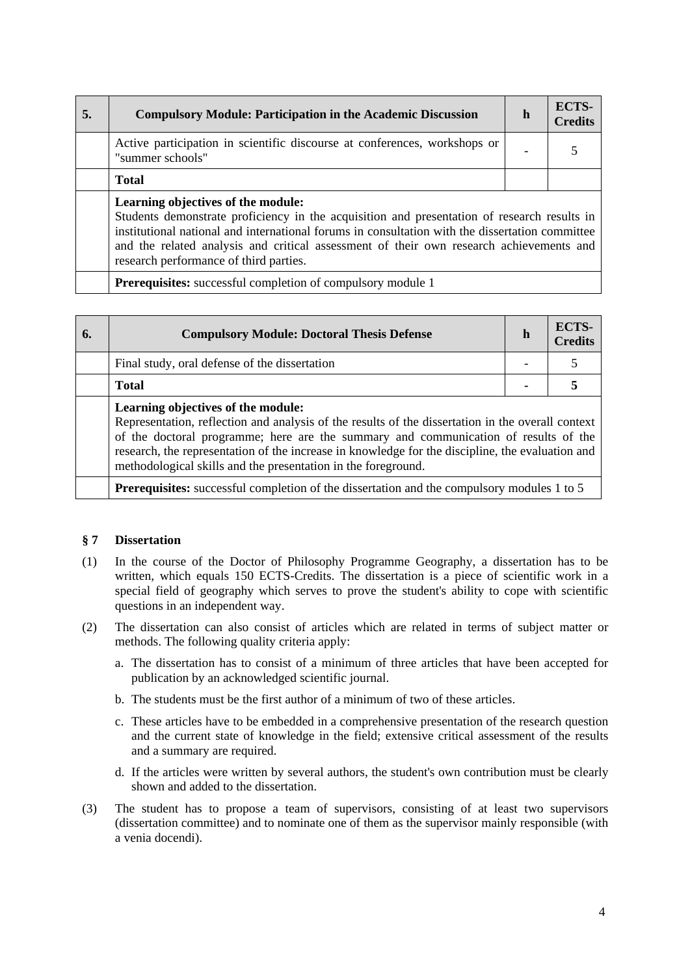| 5. | <b>Compulsory Module: Participation in the Academic Discussion</b>                                                                                                                                                                                                                                                                                                        |  | ECTS-<br><b>Credits</b> |  |
|----|---------------------------------------------------------------------------------------------------------------------------------------------------------------------------------------------------------------------------------------------------------------------------------------------------------------------------------------------------------------------------|--|-------------------------|--|
|    | Active participation in scientific discourse at conferences, workshops or<br>"summer schools"                                                                                                                                                                                                                                                                             |  |                         |  |
|    | <b>Total</b>                                                                                                                                                                                                                                                                                                                                                              |  |                         |  |
|    | Learning objectives of the module:<br>Students demonstrate proficiency in the acquisition and presentation of research results in<br>institutional national and international forums in consultation with the dissertation committee<br>and the related analysis and critical assessment of their own research achievements and<br>research performance of third parties. |  |                         |  |
|    |                                                                                                                                                                                                                                                                                                                                                                           |  |                         |  |

**Prerequisites:** successful completion of compulsory module 1

| 6. | <b>Compulsory Module: Doctoral Thesis Defense</b>                                                                                                                                                                                                                                                                                                                                                   |  | ECTS-<br><b>Credits</b> |
|----|-----------------------------------------------------------------------------------------------------------------------------------------------------------------------------------------------------------------------------------------------------------------------------------------------------------------------------------------------------------------------------------------------------|--|-------------------------|
|    | Final study, oral defense of the dissertation                                                                                                                                                                                                                                                                                                                                                       |  |                         |
|    | <b>Total</b>                                                                                                                                                                                                                                                                                                                                                                                        |  |                         |
|    | Learning objectives of the module:<br>Representation, reflection and analysis of the results of the dissertation in the overall context<br>of the doctoral programme; here are the summary and communication of results of the<br>research, the representation of the increase in knowledge for the discipline, the evaluation and<br>methodological skills and the presentation in the foreground. |  |                         |

**Prerequisites:** successful completion of the dissertation and the compulsory modules 1 to 5

### **§ 7 Dissertation**

- (1) In the course of the Doctor of Philosophy Programme Geography, a dissertation has to be written, which equals 150 ECTS-Credits. The dissertation is a piece of scientific work in a special field of geography which serves to prove the student's ability to cope with scientific questions in an independent way.
- (2) The dissertation can also consist of articles which are related in terms of subject matter or methods. The following quality criteria apply:
	- a. The dissertation has to consist of a minimum of three articles that have been accepted for publication by an acknowledged scientific journal.
	- b. The students must be the first author of a minimum of two of these articles.
	- c. These articles have to be embedded in a comprehensive presentation of the research question and the current state of knowledge in the field; extensive critical assessment of the results and a summary are required.
	- d. If the articles were written by several authors, the student's own contribution must be clearly shown and added to the dissertation.
- (3) The student has to propose a team of supervisors, consisting of at least two supervisors (dissertation committee) and to nominate one of them as the supervisor mainly responsible (with a venia docendi).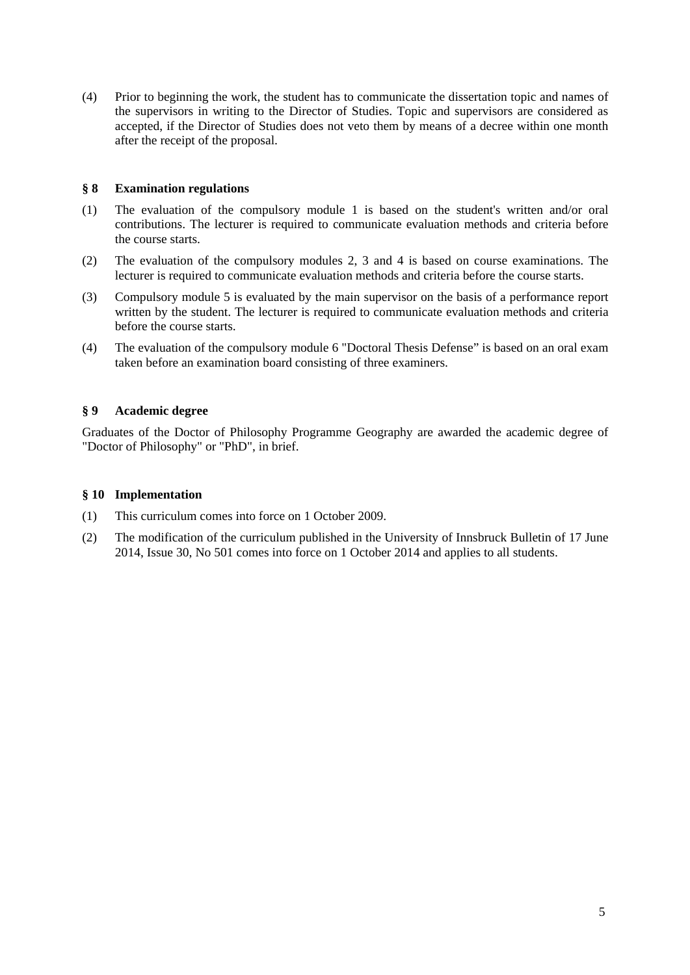(4) Prior to beginning the work, the student has to communicate the dissertation topic and names of the supervisors in writing to the Director of Studies. Topic and supervisors are considered as accepted, if the Director of Studies does not veto them by means of a decree within one month after the receipt of the proposal.

## **§ 8 Examination regulations**

- (1) The evaluation of the compulsory module 1 is based on the student's written and/or oral contributions. The lecturer is required to communicate evaluation methods and criteria before the course starts.
- (2) The evaluation of the compulsory modules 2, 3 and 4 is based on course examinations. The lecturer is required to communicate evaluation methods and criteria before the course starts.
- (3) Compulsory module 5 is evaluated by the main supervisor on the basis of a performance report written by the student. The lecturer is required to communicate evaluation methods and criteria before the course starts.
- (4) The evaluation of the compulsory module 6 "Doctoral Thesis Defense" is based on an oral exam taken before an examination board consisting of three examiners.

# **§ 9 Academic degree**

Graduates of the Doctor of Philosophy Programme Geography are awarded the academic degree of "Doctor of Philosophy" or "PhD", in brief.

### **§ 10 Implementation**

- (1) This curriculum comes into force on 1 October 2009.
- (2) The modification of the curriculum published in the University of Innsbruck Bulletin of 17 June 2014, Issue 30, No 501 comes into force on 1 October 2014 and applies to all students.